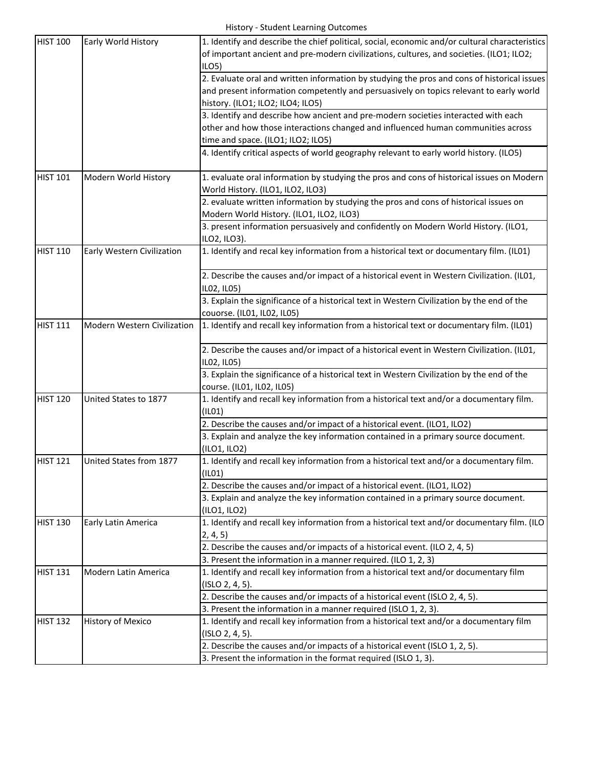| <b>HIST 100</b> | Early World History         | 1. Identify and describe the chief political, social, economic and/or cultural characteristics |
|-----------------|-----------------------------|------------------------------------------------------------------------------------------------|
|                 |                             | of important ancient and pre-modern civilizations, cultures, and societies. (ILO1; ILO2;       |
|                 |                             | ILO <sub>5</sub>                                                                               |
|                 |                             |                                                                                                |
|                 |                             | 2. Evaluate oral and written information by studying the pros and cons of historical issues    |
|                 |                             | and present information competently and persuasively on topics relevant to early world         |
|                 |                             | history. (ILO1; ILO2; ILO4; ILO5)                                                              |
|                 |                             | 3. Identify and describe how ancient and pre-modern societies interacted with each             |
|                 |                             | other and how those interactions changed and influenced human communities across               |
|                 |                             | time and space. (ILO1; ILO2; ILO5)                                                             |
|                 |                             | 4. Identify critical aspects of world geography relevant to early world history. (ILO5)        |
|                 |                             |                                                                                                |
| <b>HIST 101</b> | Modern World History        | 1. evaluate oral information by studying the pros and cons of historical issues on Modern      |
|                 |                             | World History. (ILO1, ILO2, ILO3)                                                              |
|                 |                             | 2. evaluate written information by studying the pros and cons of historical issues on          |
|                 |                             | Modern World History. (ILO1, ILO2, ILO3)                                                       |
|                 |                             | 3. present information persuasively and confidently on Modern World History. (ILO1,            |
|                 |                             | ILO2, ILO3).                                                                                   |
| <b>HIST 110</b> | Early Western Civilization  | 1. Identify and recal key information from a historical text or documentary film. (ILO1)       |
|                 |                             |                                                                                                |
|                 |                             | 2. Describe the causes and/or impact of a historical event in Western Civilization. (ILO1,     |
|                 |                             |                                                                                                |
|                 |                             | IL02, IL05)                                                                                    |
|                 |                             | 3. Explain the significance of a historical text in Western Civilization by the end of the     |
|                 |                             | couorse. (IL01, IL02, IL05)                                                                    |
| <b>HIST 111</b> | Modern Western Civilization | 1. Identify and recall key information from a historical text or documentary film. (ILO1)      |
|                 |                             |                                                                                                |
|                 |                             | 2. Describe the causes and/or impact of a historical event in Western Civilization. (ILO1,     |
|                 |                             | IL02, IL05)                                                                                    |
|                 |                             | 3. Explain the significance of a historical text in Western Civilization by the end of the     |
|                 |                             | course. (IL01, IL02, IL05)                                                                     |
| <b>HIST 120</b> | United States to 1877       | 1. Identify and recall key information from a historical text and/or a documentary film.       |
|                 |                             | (ILO1)                                                                                         |
|                 |                             | 2. Describe the causes and/or impact of a historical event. (ILO1, ILO2)                       |
|                 |                             | 3. Explain and analyze the key information contained in a primary source document.             |
|                 |                             | (ILO1, ILO2)                                                                                   |
| <b>HIST 121</b> | United States from 1877     | 1. Identify and recall key information from a historical text and/or a documentary film.       |
|                 |                             | (ILO1)                                                                                         |
|                 |                             | 2. Describe the causes and/or impact of a historical event. (ILO1, ILO2)                       |
|                 |                             | 3. Explain and analyze the key information contained in a primary source document.             |
|                 |                             | (ILO1, ILO2)                                                                                   |
| <b>HIST 130</b> | Early Latin America         | 1. Identify and recall key information from a historical text and/or documentary film. (ILO    |
|                 |                             | 2, 4, 5)                                                                                       |
|                 |                             |                                                                                                |
|                 |                             | 2. Describe the causes and/or impacts of a historical event. (ILO 2, 4, 5)                     |
|                 |                             | 3. Present the information in a manner required. (ILO 1, 2, 3)                                 |
| <b>HIST 131</b> | Modern Latin America        | 1. Identify and recall key information from a historical text and/or documentary film          |
|                 |                             | (ISLO 2, 4, 5).                                                                                |
|                 |                             | 2. Describe the causes and/or impacts of a historical event (ISLO 2, 4, 5).                    |
|                 |                             | 3. Present the information in a manner required (ISLO 1, 2, 3).                                |
| <b>HIST 132</b> | <b>History of Mexico</b>    | 1. Identify and recall key information from a historical text and/or a documentary film        |
|                 |                             | (ISLO 2, 4, 5).                                                                                |
|                 |                             | 2. Describe the causes and/or impacts of a historical event (ISLO 1, 2, 5).                    |
|                 |                             | 3. Present the information in the format required (ISLO 1, 3).                                 |